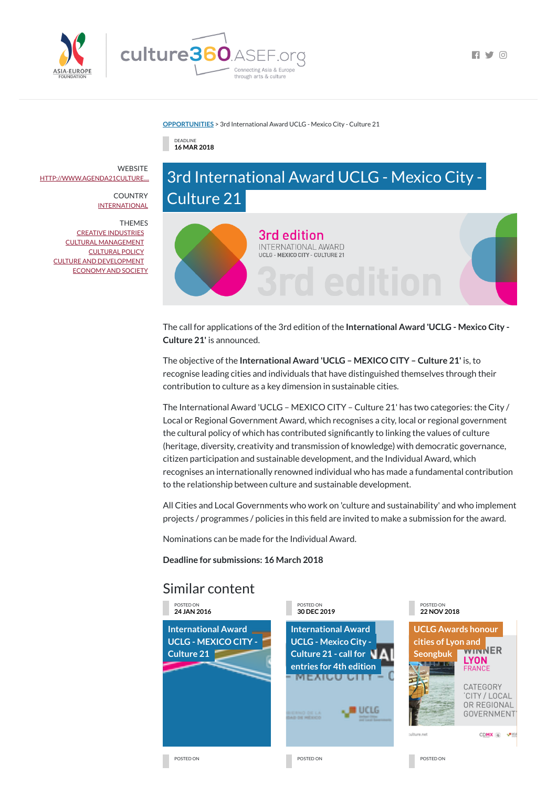

 $\Box$ 

## **[OPPORTUNITIES](https://culture360.asef.org/opportunities/)** > 3rd International Award UCLG - Mexico City - Culture 21

3rd edition

**INTERNATIONAL AWARD** UCLG - MEXICO CITY - CULTURE 21

## Similar content

DEADLINE **16 MAR 2018**

## 3rd International Award UCLG - Mexico City - Culture 21



The call for applications of the 3rd edition of the **International Award 'UCLG - Mexico City - Culture 21'** is announced.

The objective of the **International Award 'UCLG – MEXICO CITY – Culture 21'** is, to recognise leading cities and individuals that have distinguished themselves through their contribution to culture as a key dimension in sustainable cities.

All Cities and Local Governments who work on 'culture and sustainability' and who implement projects / programmes / policies in this field are invited to make a submission for the award.

> **[International](https://culture360.asef.org/opportunities/international-award-uclg-mexico-city-culture-21-call-entries-4th-edition/) Award UCLG - Mexico City - Culture 21 - call for entries for 4th edition** <u>TMEZJRJEJ PIN</u>

> > u uclg

**UCLG Awards honour cities of Lyon and [Seongbuk](https://culture360.asef.org/news-events/uclg-awards-honour-cities-lyon-and-seongbuk/) LYON** alasan M **FRANCE** CATEGORY CITY / LOCAL OR REGIONAL GOVERNMENT

culture.net

CDMX 4 values

POSTED ON POSTED ON POSTED ON POSTED ON POSTED ON POSTED ON POSTED ON POSTED ON POSTED ON POSTED ON POSTED ON POSTED ON A POSTED ON A POSTED ON A POSTED ON A POSTED ON A POSTED ON A POSTED ON A POSTED ON A POSTED ON A POST

**ELECTRIC OR LA** 



The International Award 'UCLG – MEXICO CITY – Culture 21' has two categories: the City / Local or Regional Government Award, which recognises a city, local or regional government the cultural policy of which has contributed significantly to linking the values of culture (heritage, diversity, creativity and transmission of knowledge) with democratic governance, citizen participation and sustainable development, and the Individual Award, which recognises an internationally renowned individual who has made a fundamental contribution to the relationship between culture and sustainable development.

**WEBSITE** [HTTP://WWW.AGENDA21CULTURE....](http://www.agenda21culture.net/award)

> **COUNTRY [INTERNATIONAL](https://culture360.asef.org/countries/international/)**

> > Nominations can be made for the Individual Award.

**Deadline for submissions: 16 March 2018**

POSTED ON **24 JAN 2016**

**[International](https://culture360.asef.org/opportunities/international-award-uclg-mexico-city-culture-21/) Award UCLG - MEXICO CITY -**

**Culture 21**

POSTED ON **30 DEC 2019**

POSTED ON **22 NOV 2018**

THEMES

CREATIVE [INDUSTRIES](https://culture360.asef.org/themes/creative-industries/) CULTURAL [MANAGEMENT](https://culture360.asef.org/themes/cultural-management/) [CULTURAL](https://culture360.asef.org/themes/cultural-policy/) POLICY CULTURE AND [DEVELOPMENT](https://culture360.asef.org/themes/culture-and-development/) [ECONOMY](https://culture360.asef.org/themes/economy-and-society/) AND SOCIETY